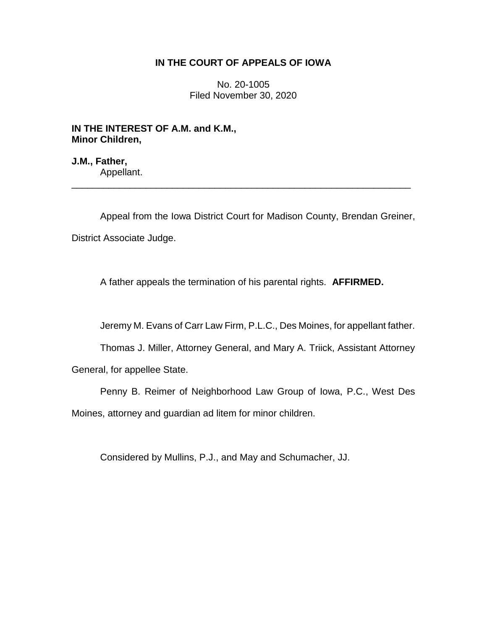# **IN THE COURT OF APPEALS OF IOWA**

No. 20-1005 Filed November 30, 2020

**IN THE INTEREST OF A.M. and K.M., Minor Children,**

**J.M., Father,** Appellant.

Appeal from the Iowa District Court for Madison County, Brendan Greiner, District Associate Judge.

\_\_\_\_\_\_\_\_\_\_\_\_\_\_\_\_\_\_\_\_\_\_\_\_\_\_\_\_\_\_\_\_\_\_\_\_\_\_\_\_\_\_\_\_\_\_\_\_\_\_\_\_\_\_\_\_\_\_\_\_\_\_\_\_

A father appeals the termination of his parental rights. **AFFIRMED.**

Jeremy M. Evans of Carr Law Firm, P.L.C., Des Moines, for appellant father.

Thomas J. Miller, Attorney General, and Mary A. Triick, Assistant Attorney

General, for appellee State.

Penny B. Reimer of Neighborhood Law Group of Iowa, P.C., West Des Moines, attorney and guardian ad litem for minor children.

Considered by Mullins, P.J., and May and Schumacher, JJ.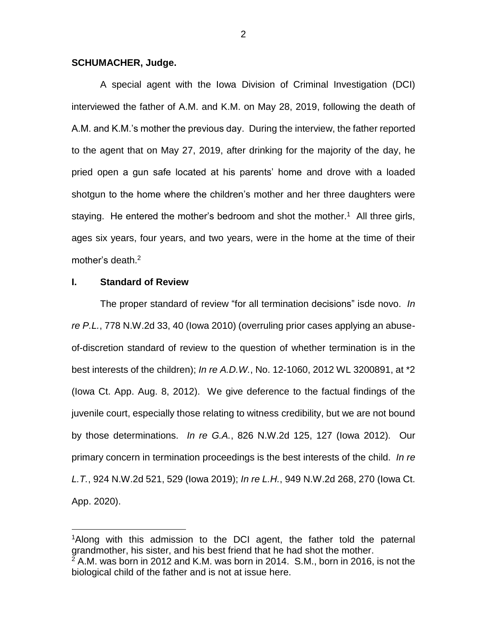### **SCHUMACHER, Judge.**

A special agent with the Iowa Division of Criminal Investigation (DCI) interviewed the father of A.M. and K.M. on May 28, 2019, following the death of A.M. and K.M.'s mother the previous day. During the interview, the father reported to the agent that on May 27, 2019, after drinking for the majority of the day, he pried open a gun safe located at his parents' home and drove with a loaded shotgun to the home where the children's mother and her three daughters were staying. He entered the mother's bedroom and shot the mother.<sup>1</sup> All three girls, ages six years, four years, and two years, were in the home at the time of their mother's death.<sup>2</sup>

## **I. Standard of Review**

 $\overline{a}$ 

The proper standard of review "for all termination decisions" isde novo. *In re P.L.*, 778 N.W.2d 33, 40 (Iowa 2010) (overruling prior cases applying an abuseof-discretion standard of review to the question of whether termination is in the best interests of the children); *In re A.D.W.*, No. 12-1060, 2012 WL 3200891, at \*2 (Iowa Ct. App. Aug. 8, 2012). We give deference to the factual findings of the juvenile court, especially those relating to witness credibility, but we are not bound by those determinations. *In re G.A.*, 826 N.W.2d 125, 127 (Iowa 2012)*.* Our primary concern in termination proceedings is the best interests of the child. *In re L.T.*, 924 N.W.2d 521, 529 (Iowa 2019); *In re L.H.*, 949 N.W.2d 268, 270 (Iowa Ct. App. 2020).

<sup>&</sup>lt;sup>1</sup>Along with this admission to the DCI agent, the father told the paternal grandmother, his sister, and his best friend that he had shot the mother.  $2$  A.M. was born in 2012 and K.M. was born in 2014. S.M., born in 2016, is not the biological child of the father and is not at issue here.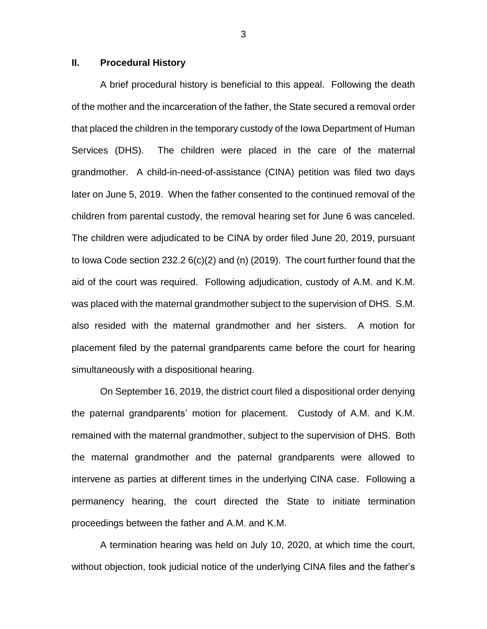## **II. Procedural History**

A brief procedural history is beneficial to this appeal. Following the death of the mother and the incarceration of the father, the State secured a removal order that placed the children in the temporary custody of the Iowa Department of Human Services (DHS). The children were placed in the care of the maternal grandmother. A child-in-need-of-assistance (CINA) petition was filed two days later on June 5, 2019. When the father consented to the continued removal of the children from parental custody, the removal hearing set for June 6 was canceled. The children were adjudicated to be CINA by order filed June 20, 2019, pursuant to Iowa Code section 232.2 6(c)(2) and (n) (2019). The court further found that the aid of the court was required. Following adjudication, custody of A.M. and K.M. was placed with the maternal grandmother subject to the supervision of DHS. S.M. also resided with the maternal grandmother and her sisters. A motion for placement filed by the paternal grandparents came before the court for hearing simultaneously with a dispositional hearing.

On September 16, 2019, the district court filed a dispositional order denying the paternal grandparents' motion for placement. Custody of A.M. and K.M. remained with the maternal grandmother, subject to the supervision of DHS. Both the maternal grandmother and the paternal grandparents were allowed to intervene as parties at different times in the underlying CINA case. Following a permanency hearing, the court directed the State to initiate termination proceedings between the father and A.M. and K.M.

A termination hearing was held on July 10, 2020, at which time the court, without objection, took judicial notice of the underlying CINA files and the father's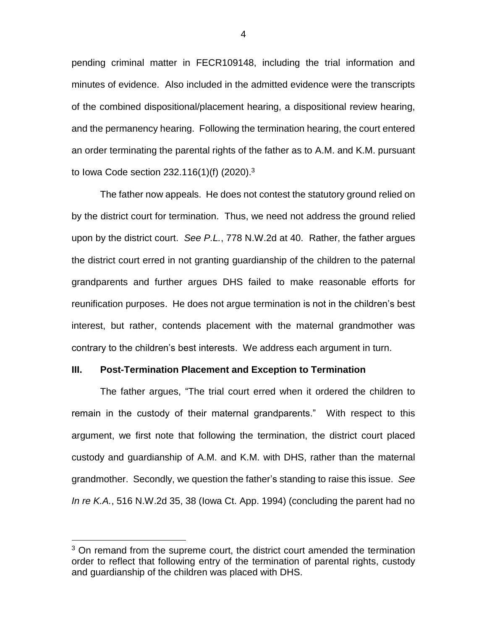pending criminal matter in FECR109148, including the trial information and minutes of evidence. Also included in the admitted evidence were the transcripts of the combined dispositional/placement hearing, a dispositional review hearing, and the permanency hearing. Following the termination hearing, the court entered an order terminating the parental rights of the father as to A.M. and K.M. pursuant to Iowa Code section 232.116(1)(f) (2020).<sup>3</sup>

The father now appeals. He does not contest the statutory ground relied on by the district court for termination. Thus, we need not address the ground relied upon by the district court. *See P.L.*, 778 N.W.2d at 40. Rather, the father argues the district court erred in not granting guardianship of the children to the paternal grandparents and further argues DHS failed to make reasonable efforts for reunification purposes. He does not argue termination is not in the children's best interest, but rather, contends placement with the maternal grandmother was contrary to the children's best interests. We address each argument in turn.

#### **III. Post-Termination Placement and Exception to Termination**

The father argues, "The trial court erred when it ordered the children to remain in the custody of their maternal grandparents." With respect to this argument, we first note that following the termination, the district court placed custody and guardianship of A.M. and K.M. with DHS, rather than the maternal grandmother. Secondly, we question the father's standing to raise this issue. *See In re K.A.*, 516 N.W.2d 35, 38 (Iowa Ct. App. 1994) (concluding the parent had no

 $\overline{a}$ 

 $3$  On remand from the supreme court, the district court amended the termination order to reflect that following entry of the termination of parental rights, custody and guardianship of the children was placed with DHS.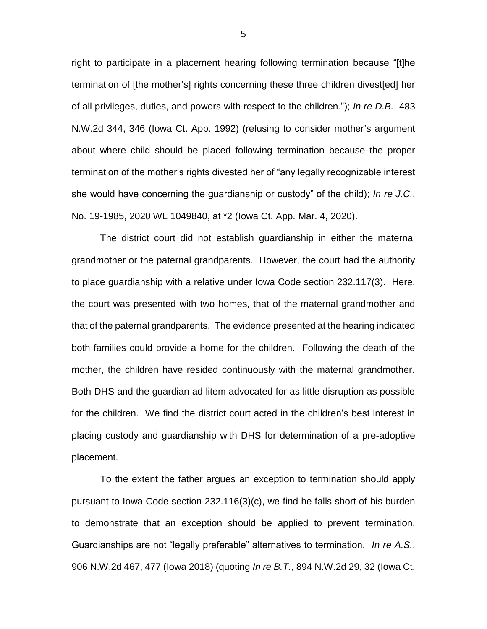right to participate in a placement hearing following termination because "[t]he termination of [the mother's] rights concerning these three children divest[ed] her of all privileges, duties, and powers with respect to the children."); *In re D.B.*, 483 N.W.2d 344, 346 (Iowa Ct. App. 1992) (refusing to consider mother's argument about where child should be placed following termination because the proper termination of the mother's rights divested her of "any legally recognizable interest she would have concerning the guardianship or custody" of the child); *In re J.C.*, No. 19-1985, 2020 WL 1049840, at \*2 (Iowa Ct. App. Mar. 4, 2020).

The district court did not establish guardianship in either the maternal grandmother or the paternal grandparents. However, the court had the authority to place guardianship with a relative under Iowa Code section 232.117(3). Here, the court was presented with two homes, that of the maternal grandmother and that of the paternal grandparents. The evidence presented at the hearing indicated both families could provide a home for the children. Following the death of the mother, the children have resided continuously with the maternal grandmother. Both DHS and the guardian ad litem advocated for as little disruption as possible for the children. We find the district court acted in the children's best interest in placing custody and guardianship with DHS for determination of a pre-adoptive placement.

To the extent the father argues an exception to termination should apply pursuant to Iowa Code section 232.116(3)(c), we find he falls short of his burden to demonstrate that an exception should be applied to prevent termination. Guardianships are not "legally preferable" alternatives to termination. *In re A.S.*, 906 N.W.2d 467, 477 (Iowa 2018) (quoting *In re B.T.*, 894 N.W.2d 29, 32 (Iowa Ct.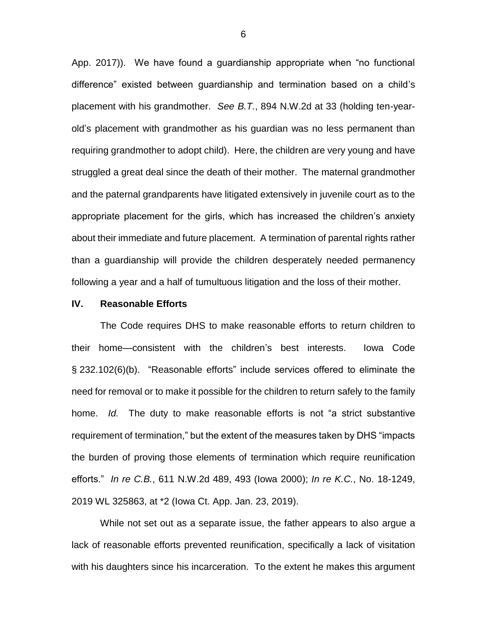App. 2017)). We have found a guardianship appropriate when "no functional difference" existed between guardianship and termination based on a child's placement with his grandmother. *See B.T.*, 894 N.W.2d at 33 (holding ten-yearold's placement with grandmother as his guardian was no less permanent than requiring grandmother to adopt child). Here, the children are very young and have struggled a great deal since the death of their mother. The maternal grandmother and the paternal grandparents have litigated extensively in juvenile court as to the appropriate placement for the girls, which has increased the children's anxiety about their immediate and future placement. A termination of parental rights rather than a guardianship will provide the children desperately needed permanency following a year and a half of tumultuous litigation and the loss of their mother.

### **IV. Reasonable Efforts**

The Code requires DHS to make reasonable efforts to return children to their home—consistent with the children's best interests. Iowa Code § 232.102(6)(b). "Reasonable efforts" include services offered to eliminate the need for removal or to make it possible for the children to return safely to the family home. *Id.* The duty to make reasonable efforts is not "a strict substantive requirement of termination," but the extent of the measures taken by DHS "impacts the burden of proving those elements of termination which require reunification efforts." *In re C.B.*, 611 N.W.2d 489, 493 (Iowa 2000); *In re K.C.*, No. 18-1249, 2019 WL 325863, at \*2 (Iowa Ct. App. Jan. 23, 2019).

While not set out as a separate issue, the father appears to also argue a lack of reasonable efforts prevented reunification, specifically a lack of visitation with his daughters since his incarceration. To the extent he makes this argument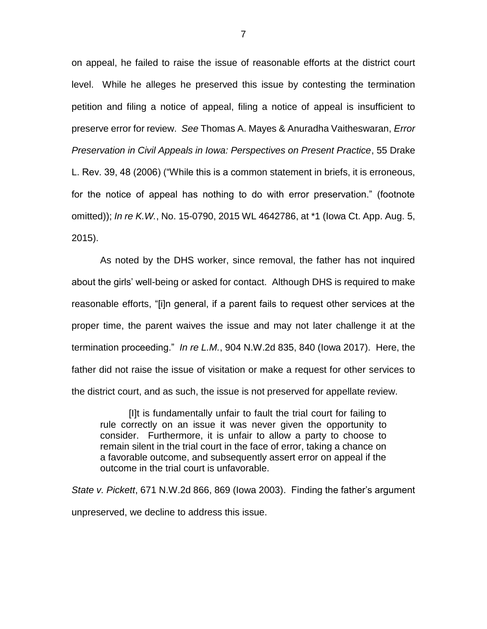on appeal, he failed to raise the issue of reasonable efforts at the district court level. While he alleges he preserved this issue by contesting the termination petition and filing a notice of appeal, filing a notice of appeal is insufficient to preserve error for review. *See* Thomas A. Mayes & Anuradha Vaitheswaran, *Error Preservation in Civil Appeals in Iowa: Perspectives on Present Practice*, 55 Drake L. Rev. 39, 48 (2006) ("While this is a common statement in briefs, it is erroneous, for the notice of appeal has nothing to do with error preservation." (footnote omitted)); *In re K.W.*, No. 15-0790, 2015 WL 4642786, at \*1 (Iowa Ct. App. Aug. 5, 2015).

As noted by the DHS worker, since removal, the father has not inquired about the girls' well-being or asked for contact. Although DHS is required to make reasonable efforts, "[i]n general, if a parent fails to request other services at the proper time, the parent waives the issue and may not later challenge it at the termination proceeding." *In re L.M.*, 904 N.W.2d 835, 840 (Iowa 2017). Here, the father did not raise the issue of visitation or make a request for other services to the district court, and as such, the issue is not preserved for appellate review.

[I]t is fundamentally unfair to fault the trial court for failing to rule correctly on an issue it was never given the opportunity to consider. Furthermore, it is unfair to allow a party to choose to remain silent in the trial court in the face of error, taking a chance on a favorable outcome, and subsequently assert error on appeal if the outcome in the trial court is unfavorable.

*State v. Pickett*, 671 N.W.2d 866, 869 (Iowa 2003). Finding the father's argument unpreserved, we decline to address this issue.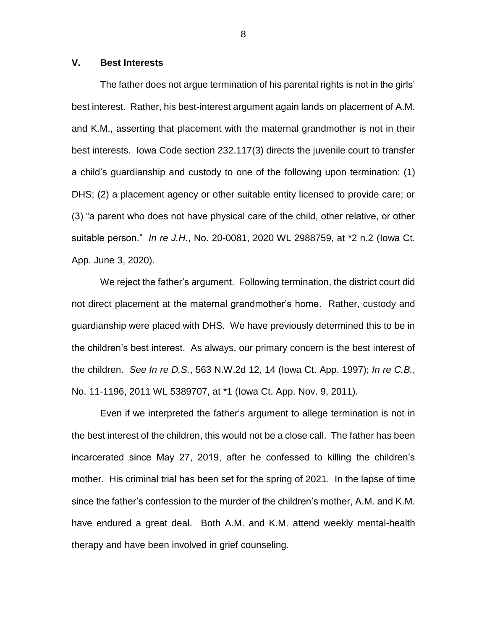## **V. Best Interests**

The father does not argue termination of his parental rights is not in the girls' best interest. Rather, his best-interest argument again lands on placement of A.M. and K.M., asserting that placement with the maternal grandmother is not in their best interests. Iowa Code section 232.117(3) directs the juvenile court to transfer a child's guardianship and custody to one of the following upon termination: (1) DHS; (2) a placement agency or other suitable entity licensed to provide care; or (3) "a parent who does not have physical care of the child, other relative, or other suitable person." *In re J.H.*, No. 20-0081, 2020 WL 2988759, at \*2 n.2 (Iowa Ct. App. June 3, 2020).

We reject the father's argument. Following termination, the district court did not direct placement at the maternal grandmother's home. Rather, custody and guardianship were placed with DHS. We have previously determined this to be in the children's best interest. As always, our primary concern is the best interest of the children. *See In re D.S.*, 563 N.W.2d 12, 14 (Iowa Ct. App. 1997); *In re C.B.*, No. 11-1196, 2011 WL 5389707, at \*1 (Iowa Ct. App. Nov. 9, 2011).

Even if we interpreted the father's argument to allege termination is not in the best interest of the children, this would not be a close call. The father has been incarcerated since May 27, 2019, after he confessed to killing the children's mother. His criminal trial has been set for the spring of 2021. In the lapse of time since the father's confession to the murder of the children's mother, A.M. and K.M. have endured a great deal. Both A.M. and K.M. attend weekly mental-health therapy and have been involved in grief counseling.